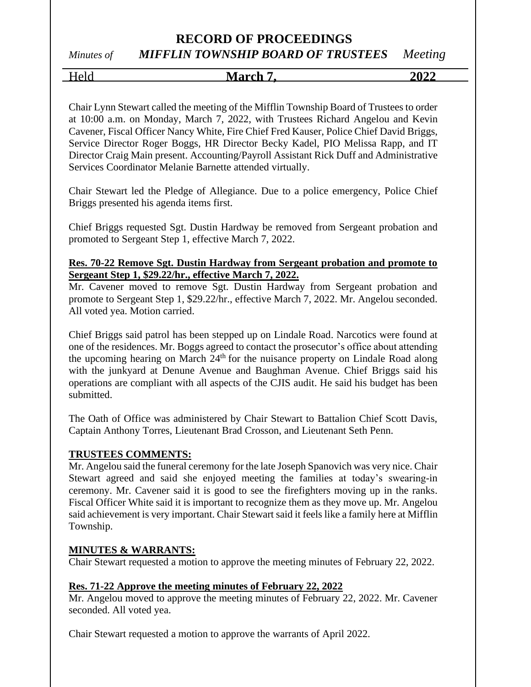*Minutes of MIFFLIN TOWNSHIP BOARD OF TRUSTEES Meeting*

Held **March 7, 2022** 

Chair Lynn Stewart called the meeting of the Mifflin Township Board of Trustees to order at 10:00 a.m. on Monday, March 7, 2022, with Trustees Richard Angelou and Kevin Cavener, Fiscal Officer Nancy White, Fire Chief Fred Kauser, Police Chief David Briggs, Service Director Roger Boggs, HR Director Becky Kadel, PIO Melissa Rapp, and IT Director Craig Main present. Accounting/Payroll Assistant Rick Duff and Administrative Services Coordinator Melanie Barnette attended virtually.

Chair Stewart led the Pledge of Allegiance. Due to a police emergency, Police Chief Briggs presented his agenda items first.

Chief Briggs requested Sgt. Dustin Hardway be removed from Sergeant probation and promoted to Sergeant Step 1, effective March 7, 2022.

### **Res. 70-22 Remove Sgt. Dustin Hardway from Sergeant probation and promote to Sergeant Step 1, \$29.22/hr., effective March 7, 2022.**

Mr. Cavener moved to remove Sgt. Dustin Hardway from Sergeant probation and promote to Sergeant Step 1, \$29.22/hr., effective March 7, 2022. Mr. Angelou seconded. All voted yea. Motion carried.

Chief Briggs said patrol has been stepped up on Lindale Road. Narcotics were found at one of the residences. Mr. Boggs agreed to contact the prosecutor's office about attending the upcoming hearing on March  $24<sup>th</sup>$  for the nuisance property on Lindale Road along with the junkyard at Denune Avenue and Baughman Avenue. Chief Briggs said his operations are compliant with all aspects of the CJIS audit. He said his budget has been submitted.

The Oath of Office was administered by Chair Stewart to Battalion Chief Scott Davis, Captain Anthony Torres, Lieutenant Brad Crosson, and Lieutenant Seth Penn.

### **TRUSTEES COMMENTS:**

Mr. Angelou said the funeral ceremony for the late Joseph Spanovich was very nice. Chair Stewart agreed and said she enjoyed meeting the families at today's swearing-in ceremony. Mr. Cavener said it is good to see the firefighters moving up in the ranks. Fiscal Officer White said it is important to recognize them as they move up. Mr. Angelou said achievement is very important. Chair Stewart said it feels like a family here at Mifflin Township.

### **MINUTES & WARRANTS:**

Chair Stewart requested a motion to approve the meeting minutes of February 22, 2022.

### **Res. 71-22 Approve the meeting minutes of February 22, 2022**

Mr. Angelou moved to approve the meeting minutes of February 22, 2022. Mr. Cavener seconded. All voted yea.

Chair Stewart requested a motion to approve the warrants of April 2022.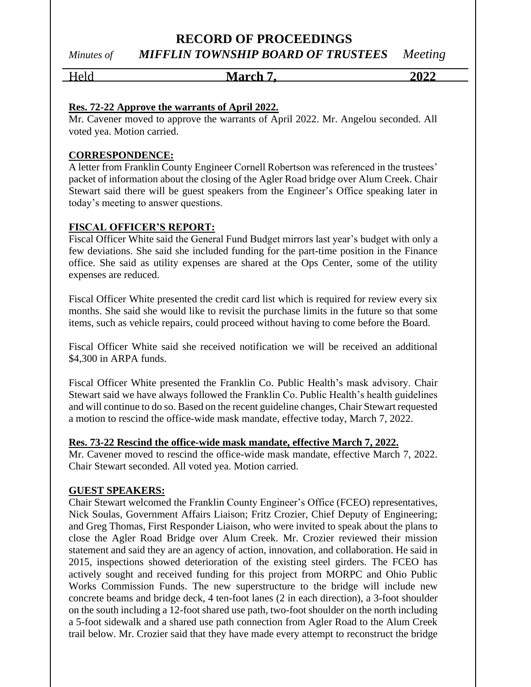## **RECORD OF PROCEEDINGS** *Minutes of MIFFLIN TOWNSHIP BOARD OF TRUSTEES Meeting*

# Held **March 7, 2022**

### **Res. 72-22 Approve the warrants of April 2022.**

Mr. Cavener moved to approve the warrants of April 2022. Mr. Angelou seconded. All voted yea. Motion carried.

### **CORRESPONDENCE:**

A letter from Franklin County Engineer Cornell Robertson was referenced in the trustees' packet of information about the closing of the Agler Road bridge over Alum Creek. Chair Stewart said there will be guest speakers from the Engineer's Office speaking later in today's meeting to answer questions.

### **FISCAL OFFICER'S REPORT:**

Fiscal Officer White said the General Fund Budget mirrors last year's budget with only a few deviations. She said she included funding for the part-time position in the Finance office. She said as utility expenses are shared at the Ops Center, some of the utility expenses are reduced.

Fiscal Officer White presented the credit card list which is required for review every six months. She said she would like to revisit the purchase limits in the future so that some items, such as vehicle repairs, could proceed without having to come before the Board.

Fiscal Officer White said she received notification we will be received an additional \$4,300 in ARPA funds.

Fiscal Officer White presented the Franklin Co. Public Health's mask advisory. Chair Stewart said we have always followed the Franklin Co. Public Health's health guidelines and will continue to do so. Based on the recent guideline changes, Chair Stewart requested a motion to rescind the office-wide mask mandate, effective today, March 7, 2022.

### **Res. 73-22 Rescind the office-wide mask mandate, effective March 7, 2022.**

Mr. Cavener moved to rescind the office-wide mask mandate, effective March 7, 2022. Chair Stewart seconded. All voted yea. Motion carried.

### **GUEST SPEAKERS:**

Chair Stewart welcomed the Franklin County Engineer's Office (FCEO) representatives, Nick Soulas, Government Affairs Liaison; Fritz Crozier, Chief Deputy of Engineering; and Greg Thomas, First Responder Liaison, who were invited to speak about the plans to close the Agler Road Bridge over Alum Creek. Mr. Crozier reviewed their mission statement and said they are an agency of action, innovation, and collaboration. He said in 2015, inspections showed deterioration of the existing steel girders. The FCEO has actively sought and received funding for this project from MORPC and Ohio Public Works Commission Funds. The new superstructure to the bridge will include new concrete beams and bridge deck, 4 ten-foot lanes (2 in each direction), a 3-foot shoulder on the south including a 12-foot shared use path, two-foot shoulder on the north including a 5-foot sidewalk and a shared use path connection from Agler Road to the Alum Creek trail below. Mr. Crozier said that they have made every attempt to reconstruct the bridge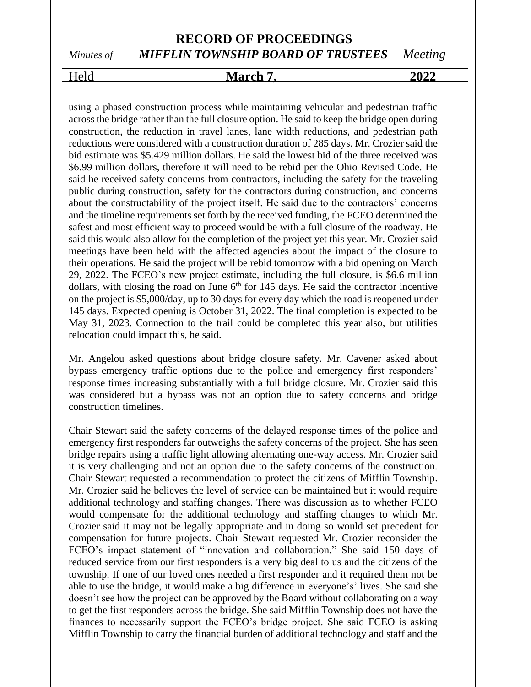## **RECORD OF PROCEEDINGS** *Minutes of MIFFLIN TOWNSHIP BOARD OF TRUSTEES Meeting*

# Held **March 7, 2022**

using a phased construction process while maintaining vehicular and pedestrian traffic across the bridge rather than the full closure option. He said to keep the bridge open during construction, the reduction in travel lanes, lane width reductions, and pedestrian path reductions were considered with a construction duration of 285 days. Mr. Crozier said the bid estimate was \$5.429 million dollars. He said the lowest bid of the three received was \$6.99 million dollars, therefore it will need to be rebid per the Ohio Revised Code. He said he received safety concerns from contractors, including the safety for the traveling public during construction, safety for the contractors during construction, and concerns about the constructability of the project itself. He said due to the contractors' concerns and the timeline requirements set forth by the received funding, the FCEO determined the safest and most efficient way to proceed would be with a full closure of the roadway. He said this would also allow for the completion of the project yet this year. Mr. Crozier said meetings have been held with the affected agencies about the impact of the closure to their operations. He said the project will be rebid tomorrow with a bid opening on March 29, 2022. The FCEO's new project estimate, including the full closure, is \$6.6 million dollars, with closing the road on June  $6<sup>th</sup>$  for 145 days. He said the contractor incentive on the project is \$5,000/day, up to 30 days for every day which the road is reopened under 145 days. Expected opening is October 31, 2022. The final completion is expected to be May 31, 2023. Connection to the trail could be completed this year also, but utilities relocation could impact this, he said.

Mr. Angelou asked questions about bridge closure safety. Mr. Cavener asked about bypass emergency traffic options due to the police and emergency first responders' response times increasing substantially with a full bridge closure. Mr. Crozier said this was considered but a bypass was not an option due to safety concerns and bridge construction timelines.

Chair Stewart said the safety concerns of the delayed response times of the police and emergency first responders far outweighs the safety concerns of the project. She has seen bridge repairs using a traffic light allowing alternating one-way access. Mr. Crozier said it is very challenging and not an option due to the safety concerns of the construction. Chair Stewart requested a recommendation to protect the citizens of Mifflin Township. Mr. Crozier said he believes the level of service can be maintained but it would require additional technology and staffing changes. There was discussion as to whether FCEO would compensate for the additional technology and staffing changes to which Mr. Crozier said it may not be legally appropriate and in doing so would set precedent for compensation for future projects. Chair Stewart requested Mr. Crozier reconsider the FCEO's impact statement of "innovation and collaboration." She said 150 days of reduced service from our first responders is a very big deal to us and the citizens of the township. If one of our loved ones needed a first responder and it required them not be able to use the bridge, it would make a big difference in everyone's' lives. She said she doesn't see how the project can be approved by the Board without collaborating on a way to get the first responders across the bridge. She said Mifflin Township does not have the finances to necessarily support the FCEO's bridge project. She said FCEO is asking Mifflin Township to carry the financial burden of additional technology and staff and the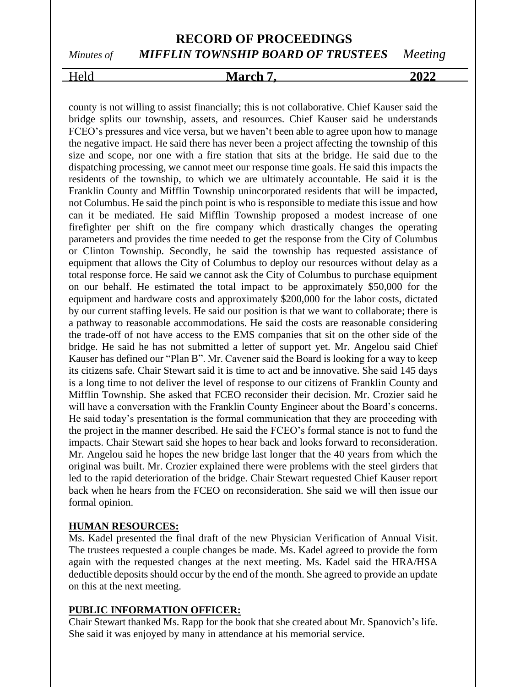# *Minutes of MIFFLIN TOWNSHIP BOARD OF TRUSTEES Meeting*

### Held **March 7, 2022**

county is not willing to assist financially; this is not collaborative. Chief Kauser said the bridge splits our township, assets, and resources. Chief Kauser said he understands FCEO's pressures and vice versa, but we haven't been able to agree upon how to manage the negative impact. He said there has never been a project affecting the township of this size and scope, nor one with a fire station that sits at the bridge. He said due to the dispatching processing, we cannot meet our response time goals. He said this impacts the residents of the township, to which we are ultimately accountable. He said it is the Franklin County and Mifflin Township unincorporated residents that will be impacted, not Columbus. He said the pinch point is who is responsible to mediate this issue and how can it be mediated. He said Mifflin Township proposed a modest increase of one firefighter per shift on the fire company which drastically changes the operating parameters and provides the time needed to get the response from the City of Columbus or Clinton Township. Secondly, he said the township has requested assistance of equipment that allows the City of Columbus to deploy our resources without delay as a total response force. He said we cannot ask the City of Columbus to purchase equipment on our behalf. He estimated the total impact to be approximately \$50,000 for the equipment and hardware costs and approximately \$200,000 for the labor costs, dictated by our current staffing levels. He said our position is that we want to collaborate; there is a pathway to reasonable accommodations. He said the costs are reasonable considering the trade-off of not have access to the EMS companies that sit on the other side of the bridge. He said he has not submitted a letter of support yet. Mr. Angelou said Chief Kauser has defined our "Plan B". Mr. Cavener said the Board is looking for a way to keep its citizens safe. Chair Stewart said it is time to act and be innovative. She said 145 days is a long time to not deliver the level of response to our citizens of Franklin County and Mifflin Township. She asked that FCEO reconsider their decision. Mr. Crozier said he will have a conversation with the Franklin County Engineer about the Board's concerns. He said today's presentation is the formal communication that they are proceeding with the project in the manner described. He said the FCEO's formal stance is not to fund the impacts. Chair Stewart said she hopes to hear back and looks forward to reconsideration. Mr. Angelou said he hopes the new bridge last longer that the 40 years from which the original was built. Mr. Crozier explained there were problems with the steel girders that led to the rapid deterioration of the bridge. Chair Stewart requested Chief Kauser report back when he hears from the FCEO on reconsideration. She said we will then issue our formal opinion.

### **HUMAN RESOURCES:**

Ms. Kadel presented the final draft of the new Physician Verification of Annual Visit. The trustees requested a couple changes be made. Ms. Kadel agreed to provide the form again with the requested changes at the next meeting. Ms. Kadel said the HRA/HSA deductible deposits should occur by the end of the month. She agreed to provide an update on this at the next meeting.

### **PUBLIC INFORMATION OFFICER:**

Chair Stewart thanked Ms. Rapp for the book that she created about Mr. Spanovich's life. She said it was enjoyed by many in attendance at his memorial service.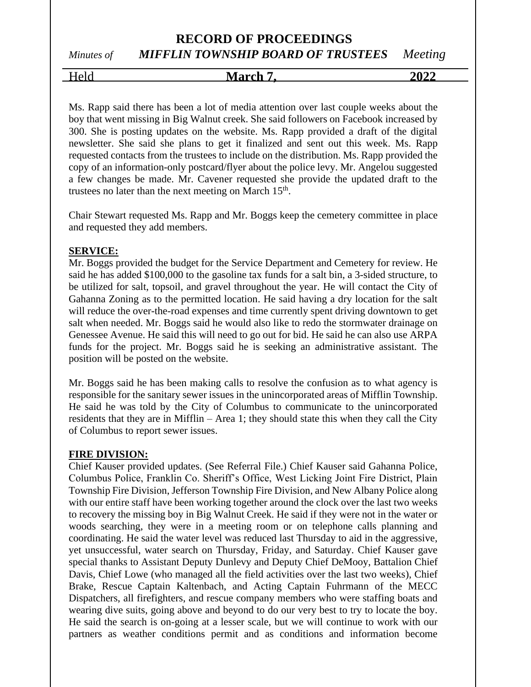# *Minutes of MIFFLIN TOWNSHIP BOARD OF TRUSTEES Meeting*

Held **March 7, 2022** 

Ms. Rapp said there has been a lot of media attention over last couple weeks about the boy that went missing in Big Walnut creek. She said followers on Facebook increased by 300. She is posting updates on the website. Ms. Rapp provided a draft of the digital newsletter. She said she plans to get it finalized and sent out this week. Ms. Rapp requested contacts from the trustees to include on the distribution. Ms. Rapp provided the copy of an information-only postcard/flyer about the police levy. Mr. Angelou suggested a few changes be made. Mr. Cavener requested she provide the updated draft to the trustees no later than the next meeting on March  $15<sup>th</sup>$ .

Chair Stewart requested Ms. Rapp and Mr. Boggs keep the cemetery committee in place and requested they add members.

### **SERVICE:**

Mr. Boggs provided the budget for the Service Department and Cemetery for review. He said he has added \$100,000 to the gasoline tax funds for a salt bin, a 3-sided structure, to be utilized for salt, topsoil, and gravel throughout the year. He will contact the City of Gahanna Zoning as to the permitted location. He said having a dry location for the salt will reduce the over-the-road expenses and time currently spent driving downtown to get salt when needed. Mr. Boggs said he would also like to redo the stormwater drainage on Genessee Avenue. He said this will need to go out for bid. He said he can also use ARPA funds for the project. Mr. Boggs said he is seeking an administrative assistant. The position will be posted on the website.

Mr. Boggs said he has been making calls to resolve the confusion as to what agency is responsible for the sanitary sewer issues in the unincorporated areas of Mifflin Township. He said he was told by the City of Columbus to communicate to the unincorporated residents that they are in Mifflin – Area 1; they should state this when they call the City of Columbus to report sewer issues.

### **FIRE DIVISION:**

Chief Kauser provided updates. (See Referral File.) Chief Kauser said Gahanna Police, Columbus Police, Franklin Co. Sheriff's Office, West Licking Joint Fire District, Plain Township Fire Division, Jefferson Township Fire Division, and New Albany Police along with our entire staff have been working together around the clock over the last two weeks to recovery the missing boy in Big Walnut Creek. He said if they were not in the water or woods searching, they were in a meeting room or on telephone calls planning and coordinating. He said the water level was reduced last Thursday to aid in the aggressive, yet unsuccessful, water search on Thursday, Friday, and Saturday. Chief Kauser gave special thanks to Assistant Deputy Dunlevy and Deputy Chief DeMooy, Battalion Chief Davis, Chief Lowe (who managed all the field activities over the last two weeks), Chief Brake, Rescue Captain Kaltenbach, and Acting Captain Fuhrmann of the MECC Dispatchers, all firefighters, and rescue company members who were staffing boats and wearing dive suits, going above and beyond to do our very best to try to locate the boy. He said the search is on-going at a lesser scale, but we will continue to work with our partners as weather conditions permit and as conditions and information become